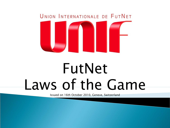

# FutNet Laws of the Game

Issued on 16th October 2010, Geneve, Switzerland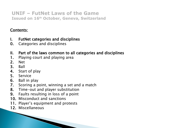## Contents:

- I. FutNet categories and disciplines
- 0. Categories and disciplines
- II. Part of the laws common to all categories and disciplines
- 1. Playing court and playing area
- 2. Net
- 3. Ball
- 4. Start of play
- 5. Service
- 6. Ball in play
- 7. Scoring a point, winning a set and a match
- 8. Time-out and player substitution
- 9. Faults resulting in loss of a point
- 10. Misconduct and sanctions
- 11. Player's equipment and protests
- 12. Miscellaneous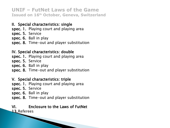## II. Special characteristics: single

spec. 1. Playing court and playing area spec. 5. Service spec. 6. Ball in play spec. 8. Time-out and player substitution

## IV. Special characteristics: double

spec. 1. Playing court and playing area

spec. 5. Service

spec. 6. Ball in play

spec. 8. Time-out and player substitution

#### V. Special characteristics: triple

spec. 1. Playing court and playing area

spec. 5. Service

spec. 6. Ball in play

spec. 8. Time-out and player substitution

## VI. Enclosure to the Laws of FutNet

**The Company of the Company of the Company of the Company of the Company of The Company of The Company of The Company of The Company of The Company of The Company of The Company of The Company of The Company of The Company** 

13.Referees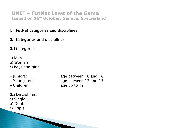## I. FutNet categories and disciplines:

0. Categories and disciplines

0.1Categories:

a) Men

b) Women

c) Boys and girls:

- Juniors: age between 16 and 18 - Youngsters: age between 13 and 15 - Children: age up to 12

0.2Disciplines: a) Single b) Double c) Triple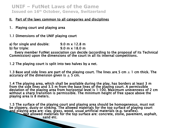#### II. Part of the laws common to all categories and disciplines

- 1. Playing court and playing area
- 1.1 Dimensions of the UNIF playing court
- a) for single and double:  $9.0 \text{ m} \times 12.8 \text{ m}$
- b) for triple: 9.0 m x 18.0 m

 Every member FutNet association can decide (according to the proposal of its Technical Commission) upon the dimensions of the court in all its internal competitions.

1.2 The playing court is split into two halves by a net.

1.3 Base and side lines are part of the playing court. The lines are 5 cm  $\pm$  1 cm thick. The accuracy of the dimension given is  $+5$  cm.

1.4 The playing area, which shall be available during the play, has borders at least 3 m from the side lines and 3.5 m from the base lines of the playing court. A permissible deviation of the playing area from horizontal level is 1:100. Maximum unevenness of 2 cm without a sharp transition is permissible. The minimum height of free space above the playing area is 8 meters.

1.5 The surface of the playing court and playing area should be homogeneous, must not be slippery, dusty or sinking. The allowed materials for the top surface of playing court and playing area are: clay, grass, wood, usual artificial materials (e.g. taraflex). **Not allowed materials for the top surface are: concrete, stone, pavement, asphalt,** sand etc.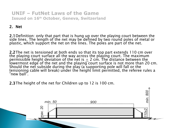## 2. Net

2.1Definition: only that part that is hung up over the playing court between the side lines. The length of the net may be defined by two round poles of metal or plastic, which support the net on the lines. The poles are part of the net.

2.2The net is tensioned at both ends so that its top part extends 110 cm over the playing court surface all the way across the playing court. The maximum permissible height deviation of the net is  $\pm$  2 cm. The distance between the lowermost edge of the net and the playing court surface is not more than 20 cm. Should the net subside during the play (a supporting pole will fall or the tensioning cable will break) under the height limit permitted, the referee rules a "new ball".

2.3The height of the net for Children up to 12 is 100 cm.

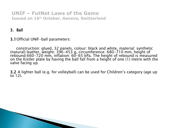## 3. Ball

3.1Official UNIF-ball parameters:

 construction: glued, 32 panels, colour: black and white, material: synthetic (natural) leather, weight: 396-453 g, circumference: 680-710 mm, height of rebound:660-720 mm, inflation: 60-65 kPa. The height of rebound is measured on the Kistler plate by having the ball fall from a height of one (1) metre with the valve facing up.

3.2 A lighter ball (e.g. for volleyball) can be used for Children's category (age up to 12).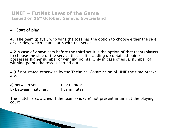## 4. Start of play

4.1The team (player) who wins the toss has the option to choose either the side or decides, which team starts with the service.

4.2In case of drawn sets before the third set it is the option of that team (player) to choose the side or the service that - after adding up obtained points possesses higher number of winning points. Only in case of equal number of winning points the toss is carried out.

4.3If not stated otherwise by the Technical Commission of UNIF the time breaks are:

| a) between sets:    | one minute   |
|---------------------|--------------|
| b) between matches: | five minutes |

The match is scratched if the team(s) is (are) not present in time at the playing court.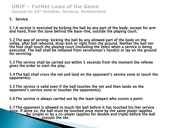#### 5. Service

5.1 A service is executed by kicking the ball by any part of the body, except for arm and hand, from the zone behind the base-line, outside the playing court.

5.2 The way of serving: kicking the ball by any allowed part of the body on the volley, after ball rebound, drop-kick or right from the ground. Neither the ball nor the foot shall touch the playing court (including the lines) when a service is being executed. The ball shall be released from serviceman's hand(s) or lay on the ground for servicing.

5.3 The service shall be carried out within 5 seconds from the moment the referee gives the order to start the play.

5.4 The ball shall cross the net and land on the opponent's service zone or touch the opponent(s).

5.5 The service is valid even if the ball touches the net and then lands on the opponent's service zone or touches the opponent(s).

5.6 The service is always carried out by the team (player) who scores a point.

5.7 The opponent is allowed to touch the ball before it has touched his/her service zone. If done so, the ball must be touched once more by the same player (applies for single) or by a co-player (applies for double and triple) before the ball **crosses the net.**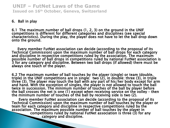#### 6. Ball in play

6.1 The maximum number of ball drops (1, 2, 3) on the ground in the UNIF competitions is different for different categories and disciplines (see special characteristics). During the play, the player does not have to let the ball drop down onto the ground.

 Every member FutNet association can decide (according to the proposal of its Technical Commission) upon the maximum number of ball drops for each category and discipline in respective competitions ruled by the association. The maximum possible number of ball drops in competitions ruled by national FutNet association is 3 for any category and discipline. Between two ball drops (if allowed) there must be always one touch of the player.

6.2 The maximum number of ball touches by the player (single) or team (double, triple) in the UNIF competitions are in single: two (2), in double: three (3), in triple three (3). The player may touch the ball with any part of his/her body except for arm and hand. With the exception of singles, the player is not allowed to touch the ball twice in succession. The minimum number of touches of the ball by player before the ball crosses the net is one (1) except when receiving service on the volley – then the minimum number of touches of the ball by receiving side is two (2).

 Every member FutNet association can decide (according to the proposal of its Technical Commission) upon the maximum number of ball touches by the player or team for each category and discipline in respective competitions ruled by the association. The maximum possible number of ball touches by the player in competitions ruled by national FutNet association is three (3) for any category and discipline.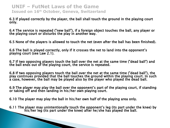6.3 If played correctly by the player, the ball shall touch the ground in the playing court only.

6.4 The service is repeated ("new ball"), if a foreign object touches the ball, any player or the playing court or disturbs the play in another way.

6.5 None of the players is allowed to touch the net (even after the ball has been finished).

6.6 The ball is played correctly, only if it crosses the net to land into the opponent's playing court (see Law 2.1).

6.7 If two opposing players touch the ball over the net at the same time ("dead ball") and the ball ends out of the playing court, the service is repeated.

6.8 If two opposing players touch the ball over the net at the same time ("dead ball"), the play continues provided that the ball touches the ground within the playing court. In such a case, however, the ball may be played also by the player who played the dead ball.

6.9 The player may play the ball over the opponent's part of the playing court, if standing or taking off and then landing in his/her own playing court.

6.10 The player may play the ball in his/her own half of the playing area only.

6.11 The player may unintentionally touch the opponent's leg (its part under the knee) by his/her leg (its part under the knee) after he/she has played the ball.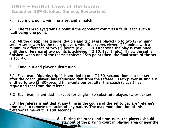#### 7. Scoring a point, winning a set and a match

7.1 The team (player) wins a point if the opponent commits a fault, each such a fault being one point.

7.2 All the disciplines (single, double and triple) are played up to two (2) winning sets. A set is won by the team (player), who first scores eleven (11) points with a minimum difference of two (2) points (e.g. 11:9). Otherwise the play is continued until the difference of two points is achieved (12:10, 13:11, etc.). If not, the set is finished, when one of the teams achieves 15th point (then, the final score of the set is 15:14).

8. Time-out and player substitution

8.1 Each team (double, triple) is entitled to one (1) 30-second time-out per set, after the coach (player) has requested that from the referee. Each player in single is entitled to two (2) 30-second time-outs per set after the coach (player) has requested that from the referee.

8.2 Each team is entitled  $-$  except for single  $-$  to substitute players twice per set.

8.3 The referee is entitled at any time in the course of the set to declare "referee's time-out" to remove obstacles of any nature. The maximum duration of this "referee's time-out" is 180 seconds.

> 8.4 During the break and time-outs, the players should stay out of the playing court in playing area or near the bench.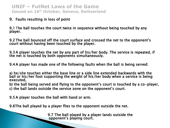#### 9. Faults resulting in loss of point

9.1 The ball touches the court twice in sequence without being touched by any player.

9.2 The ball bounced off the court surface and crossed the net to the opponent's court without having been touched by the player.

9.3 A player touches the net by any part of his/her body. The service is repeated, if the net is touched by both opponents simultaneously.

9.4 A player has made one of the following faults when the ball is being served:

a) he/she touches either the base line or a side line extended backwards with the ball or his/her foot supporting the weight of his/her body when a service is being executed,

b) the ball being served and flying to the opponent's court is touched by a co-player, c) the ball lands outside the service zone on the opponent's court.

9.5 A player touches the ball with hand or arm.

9.6The ball played by a player flies to the opponent outside the net.

**19.7 The ball played by a player lands outside the opponent's playing court.**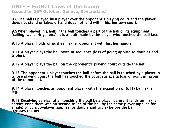9.8 The ball is played by a player over the opponent's playing court and the player does not stand or takes off and does not land within his/her own court.

9.9 When played in a hall: if the ball touches a part of the hall or its equipment (ceiling, walls, rings, etc.), it is a fault made by the player who touched the ball last.

9.10 A player holds or pushes his/her opponent with his/her hand(s).

9.11 A player plays the ball twice in sequence (loss of point; applies to doubles and triples).

9.12 A player plays the ball on the opponent's playing court outside the net.

9.13 The opponent's player touches the ball before the ball is touched by a player in whose playing court the ball has touched the court surface (a loss of point in favour of the opponent).

9.14 A player touches an opponent player (with the exception of 6.11) by his/her leg.

9.15 Receiving service: after touching the ball by a player before it lands on his/her service zone there was no second touch of the ball by the same player (applies for single) or by a co-player (applies for double and triple) before the ball crosses the net.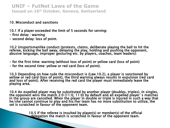#### 10. Misconduct and sanctions

10.1 If a player exceeded the limit of 5 seconds for serving:

- first delay : warning
- second delay: loss of point.

10.2 Unsportsmanlike conduct (protests, claims, deliberate playing the ball to hit the referee, kicking the ball away, delaying the play, holding and pushing the opponent, abusive language, improper gesturing etc. by players, coaches, team leaders):

- for the first time: warning (without loss of point) or yellow card (loss of point)
- for the second time: yellow or red card (loss of point).

10.3 Depending on how rude the misconduct is (Law 10.2), a player is sanctioned by yellow or red card (loss of point), the third warning always results in expulsion (red card and loss of point). After receiving the red card the player must immediately leave the playing area.

10.4 An expelled player may be substituted by another player (doubles, triples). In singles, the opponent wins the match 2:0 (11:0, 11:0) by default and all expelled player´s matches in the group are cancelled. When the player in double or triple is injured in such a way that he/she cannot continue to play and his/her team has no more substitution to utilize, the set is scratched in favour of the opponent team.

10.5 If the referee is insulted by player(s) or member(s) of the official delegation the match is scratched in favour of the opponent team.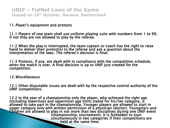#### 11. Player's equipment and protests

11.1 Players of one team shall use uniform playing suits with numbers from 1 to 99; if not they are not allowed to play by the referee.

11.2 When the play is interrupted, the team captain or coach has the right to raise hand to deliver their protest(s) to the referee and ask a question about the interpretation of the laws. The referee's decision is final.

11.3 Protests, if any, are dealt with in compliance with the competition schedule, when the match is over. A final decision is up to UNIF jury created for the competition.

12. Miscellaneous

12.1 Other disputable issues are dealt with by the respective control authority of the UNIF competitions.

12.2 In the year of a championship only the player, who achieved the right age (including lowermost and uppermost age limit) stated for his/her category, is allowed to take part in the championship. Younger players are allowed to start in upper category only with written permission of a physician (doctor). Youngsters and Children are allowed to play in not more than two disciplines during one UNIF event (championship, tournament). It is forbidden to start simultaneously in two categories if their competitions are **held at the same time.**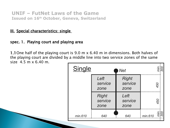## **III.** Special characteristics: single

## spec. 1. Playing court and playing area

1.1One half of the playing court is 9.0 m x 6.40 m in dimensions. Both halves of the playing court are divided by a middle line into two service zones of the same size 4.5 m x 6.40 m.

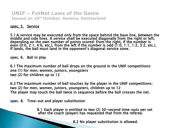#### spec. 5. Service

5.1 A service may be executed only from the space behind the base line, between the middle and side lines. A service shall be executed diagonally from the right or left, depending on the own number of points scored: from the right, if the number is even (0:0, 2:1, 4:6, etc.), from the left if the number is odd (1:0, 1:1, 1:2, 3:2, etc.). If lands, the ball must land in the opponent's diagonal service zone.

spec. 6. Ball in play

6.1 The maximum number of ball drops on the ground in the UNIF competitions: one (1) for men, women, juniors, youngsters two (2) for children up to 12

6.2 The maximum number of ball touches by the player in the UNIF competitions: two (2) for men, women, juniors, youngsters, children up to 12 The player may touch the ball twice in sequence before the ball crosses the net.

spec. 8. Time-out and player substitution

 8.1 Each player is entitled to two (2) 30-second time-outs per set after the coach (player) has requested that from the referee.

8.2 No player substitution is allowed.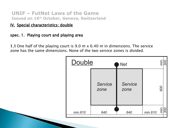## IV. Special characteristics: double

## spec. 1. Playing court and playing area

1.1 One half of the playing court is 9.0 m x 6.40 m in dimensions. The service zone has the same dimensions. None of the two service zones is divided.

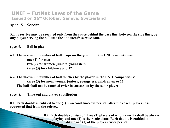#### spec. 5. Service

**5.1 A service may be executed only from the space behind the base line, between the side lines, by any player serving the ball into the opponent's service zone.**

**spec. 6. Ball in play**

**6.1 The maximum number of ball drops on the ground in the UNIF competitions: one (1) for men two (2) for women, juniors, youngsters three (3) for children up to 12**

**6.2 The maximum number of ball touches by the player in the UNIF competitions: three (3) for men, women, juniors, youngsters, children up to 12 The ball shall not be touched twice in succession by the same player.** 

**spec. 8. Time-out and player substitution**

**8.1 Each double is entitled to one (1) 30-second time-out per set, after the coach (player) has requested that from the referee.**

> **8.2 Each double consists of three (3) players of whom two (2) shall be always playing and one (1) is their substitute. Each double is entitled to substitute one (1) of the players twice per set.**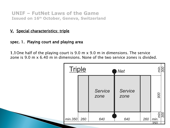## V. Special characteristics: triple

## spec. 1. Playing court and playing area

1.1One half of the playing court is 9.0 m x 9.0 m in dimensions. The service zone is 9.0 m x 6.40 m in dimensions. None of the two service zones is divided.

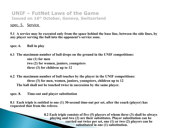#### spec. 5. Service

**5.1 A service may be executed only from the space behind the base line, between the side lines, by any player serving the ball into the opponent's service zone.**

**spec. 6. Ball in play**

**6.1 The maximum number of ball drops on the ground in the UNIF competitions: one (1) for men two (2) for women, juniors, youngsters three (3) for children up to 12**

**6.2 The maximum number of ball touches by the player in the UNIF competitions: three (3) for men, women, juniors, youngsters, children up to 12 The ball shall not be touched twice in succession by the same player.**

**spec. 8. Time-out and player substitution**

**8.1 Each triple is entitled to one (1) 30-second time-out per set, after the coach (player) has requested that from the referee.**

> **8.2 Each triple consists of five (5) players of whom three (3) shall be always playing and two (2) are their substitutes. Player substitution can be carried out twice per set, one (1) or two (2) players can be substituted in one (1) substitution.**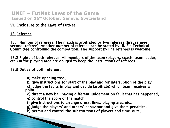## VI. Enclosure to the Laws of FutNet

## 13. Referees

13.1 Number of referees: The match is arbitrated by two referees (first referee, second referee). Another number of referees can be stated by UNIF's Technical Committee controlling the competition. The support by line referees is welcome.

13.2 Rights of both referees: All members of the team (players, coach, team leader, etc.) in the playing area are obliged to keep the instructions of referees.

13.3 Duties of both referees:

a) make opening toss,

b) give instructions for start of the play and for interruption of the play,

c) judge the faults in play and decide (arbitrate) which team receives a point,

d) direct a new ball having different judgement on fault that has happened,

- e) control the score of the match,
- f) give instructions to arrange dress, lines, playing area etc.,
- g) judge the players' and others' behaviour and give them penalties,
- h) permit and control the substitutions of players and time-outs,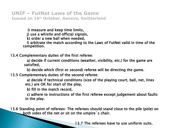i) measure and keep time limits,

j) use a whistle and official signals,

k) order a new ball when needed,

l) arbitrate the match according to the Laws of FutNet valid in time of the competition.

13.4 Complementary duties of the first referee:

a) decide if current conditions (weather, visibility, etc.) for the game are satisfied,

b) decide which (first or second) referee will be directing the game.

13.5 Complementary duties of the second referee:

a) decide if technical conditions (size of the playing court, ball, net, lines etc.) are OK for start of the play,

b) fill in the match record,

c) adhere to instructions of the first referee except judgement about faults in the play.

13.6 Standing point of referees: The referees should stand close to the pile (pole) on both sides of the net or sit on the umpire´s chair.

13.7 The referees have to use uniform suits.